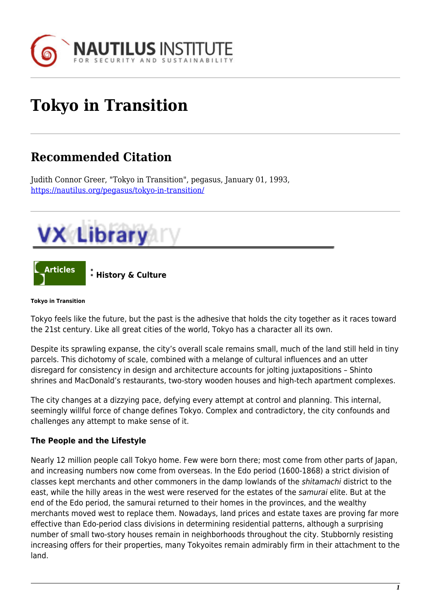

# **Tokyo in Transition**

## **Recommended Citation**

Judith Connor Greer, "Tokyo in Transition", pegasus, January 01, 1993, <https://nautilus.org/pegasus/tokyo-in-transition/>





#### **Tokyo in Transition**

Tokyo feels like the future, but the past is the adhesive that holds the city together as it races toward the 21st century. Like all great cities of the world, Tokyo has a character all its own.

Despite its sprawling expanse, the city's overall scale remains small, much of the land still held in tiny parcels. This dichotomy of scale, combined with a melange of cultural influences and an utter disregard for consistency in design and architecture accounts for jolting juxtapositions – Shinto shrines and MacDonald's restaurants, two-story wooden houses and high-tech apartment complexes.

The city changes at a dizzying pace, defying every attempt at control and planning. This internal, seemingly willful force of change defines Tokyo. Complex and contradictory, the city confounds and challenges any attempt to make sense of it.

#### **The People and the Lifestyle**

Nearly 12 million people call Tokyo home. Few were born there; most come from other parts of Japan, and increasing numbers now come from overseas. In the Edo period (1600-1868) a strict division of classes kept merchants and other commoners in the damp lowlands of the shitamachi district to the east, while the hilly areas in the west were reserved for the estates of the samurai elite. But at the end of the Edo period, the samurai returned to their homes in the provinces, and the wealthy merchants moved west to replace them. Nowadays, land prices and estate taxes are proving far more effective than Edo-period class divisions in determining residential patterns, although a surprising number of small two-story houses remain in neighborhoods throughout the city. Stubbornly resisting increasing offers for their properties, many Tokyoites remain admirably firm in their attachment to the land.